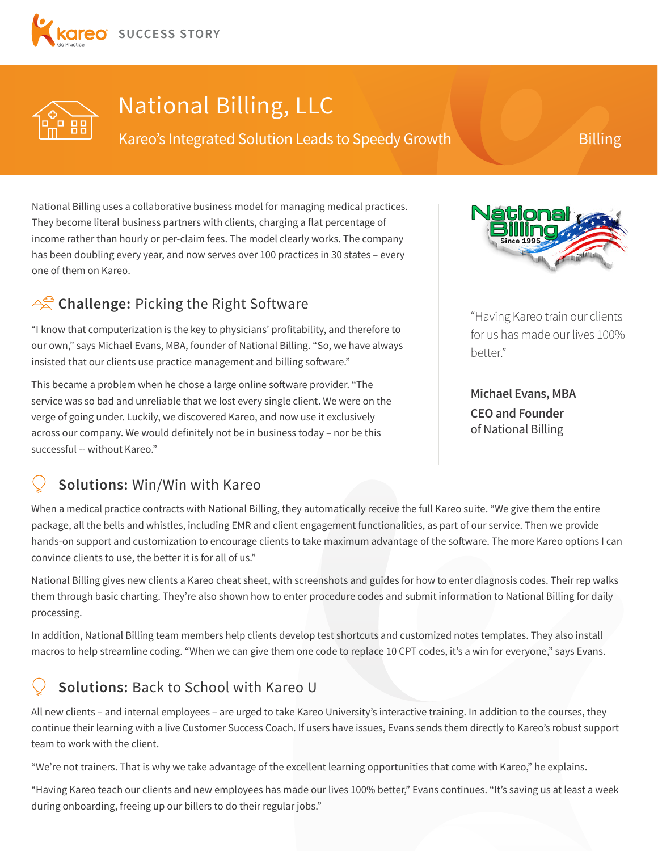



# National Billing, LLC

Kareo's Integrated Solution Leads to Speedy Growth Billing

National Billing uses a collaborative business model for managing medical practices. They become literal business partners with clients, charging a flat percentage of income rather than hourly or per-claim fees. The model clearly works. The company has been doubling every year, and now serves over 100 practices in 30 states – every one of them on Kareo.

### <sup>2</sup> Challenge: Picking the Right Software

"I know that computerization is the key to physicians' profitability, and therefore to our own," says Michael Evans, MBA, founder of National Billing. "So, we have always insisted that our clients use practice management and billing software."

This became a problem when he chose a large online software provider. "The service was so bad and unreliable that we lost every single client. We were on the verge of going under. Luckily, we discovered Kareo, and now use it exclusively across our company. We would definitely not be in business today – nor be this successful -- without Kareo."



"Having Kareo train our clients for us has made our lives 100% better."

**Michael Evans, MBA CEO and Founder**  of National Billing

#### **Solutions:** Win/Win with Kareo

When a medical practice contracts with National Billing, they automatically receive the full Kareo suite. "We give them the entire package, all the bells and whistles, including EMR and client engagement functionalities, as part of our service. Then we provide hands-on support and customization to encourage clients to take maximum advantage of the software. The more Kareo options I can convince clients to use, the better it is for all of us."

National Billing gives new clients a Kareo cheat sheet, with screenshots and guides for how to enter diagnosis codes. Their rep walks them through basic charting. They're also shown how to enter procedure codes and submit information to National Billing for daily processing.

In addition, National Billing team members help clients develop test shortcuts and customized notes templates. They also install macros to help streamline coding. "When we can give them one code to replace 10 CPT codes, it's a win for everyone," says Evans.

### **Solutions:** Back to School with Kareo U

All new clients – and internal employees – are urged to take Kareo University's interactive training. In addition to the courses, they continue their learning with a live Customer Success Coach. If users have issues, Evans sends them directly to Kareo's robust support team to work with the client.

"We're not trainers. That is why we take advantage of the excellent learning opportunities that come with Kareo," he explains.

"Having Kareo teach our clients and new employees has made our lives 100% better," Evans continues. "It's saving us at least a week during onboarding, freeing up our billers to do their regular jobs."